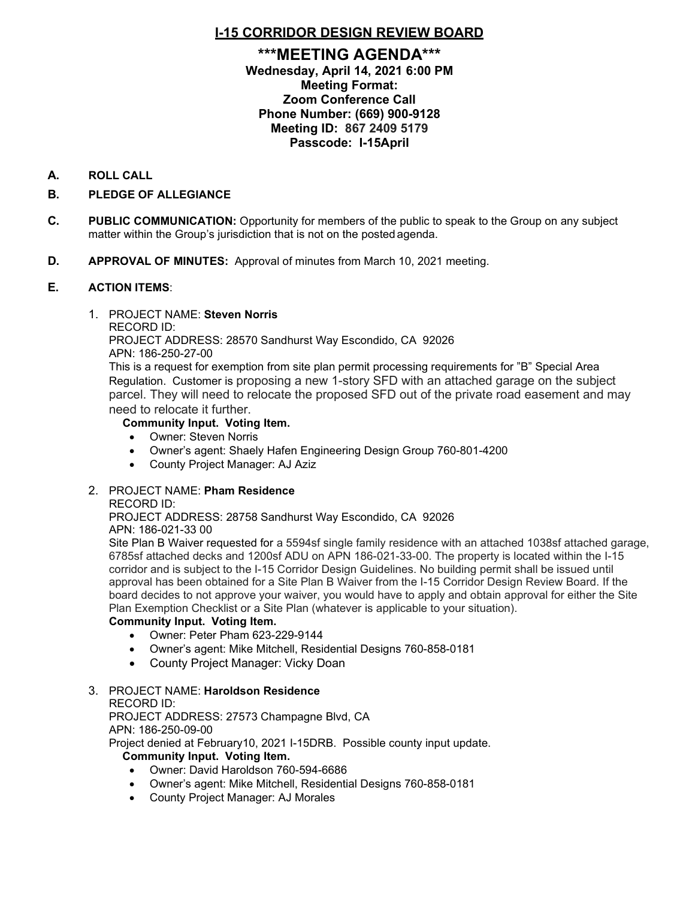# **I-15 CORRIDOR DESIGN REVIEW BOARD**

# **\*\*\*MEETING AGENDA\*\*\* Wednesday, April 14, 2021 6:00 PM Meeting Format: Zoom Conference Call Phone Number: (669) 900-9128 Meeting ID: 867 2409 5179 Passcode: I-15April**

## **A. ROLL CALL**

## **B. PLEDGE OF ALLEGIANCE**

- **C. PUBLIC COMMUNICATION:** Opportunity for members of the public to speak to the Group on any subject matter within the Group's jurisdiction that is not on the posted agenda.
- **D. APPROVAL OF MINUTES:** Approval of minutes from March 10, 2021 meeting.

### **E. ACTION ITEMS**:

### 1. PROJECT NAME: **Steven Norris**

RECORD ID:

PROJECT ADDRESS: 28570 Sandhurst Way Escondido, CA 92026 APN: 186-250-27-00

This is a request for exemption from site plan permit processing requirements for "B" Special Area Regulation. Customer is proposing a new 1-story SFD with an attached garage on the subject parcel. They will need to relocate the proposed SFD out of the private road easement and may need to relocate it further.

### **Community Input. Voting Item.**

- Owner: Steven Norris
- Owner's agent: Shaely Hafen Engineering Design Group 760-801-4200
- County Project Manager: AJ Aziz

# 2. PROJECT NAME: **Pham Residence**

### RECORD ID:

PROJECT ADDRESS: 28758 Sandhurst Way Escondido, CA 92026 APN: 186-021-33 00

Site Plan B Waiver requested for a 5594sf single family residence with an attached 1038sf attached garage, 6785sf attached decks and 1200sf ADU on APN 186-021-33-00. The property is located within the I-15 corridor and is subject to the I-15 Corridor Design Guidelines. No building permit shall be issued until approval has been obtained for a Site Plan B Waiver from the I-15 Corridor Design Review Board. If the board decides to not approve your waiver, you would have to apply and obtain approval for either the Site Plan Exemption Checklist or a Site Plan (whatever is applicable to your situation).

### **Community Input. Voting Item.**

- Owner: Peter Pham 623-229-9144
- Owner's agent: Mike Mitchell, Residential Designs 760-858-0181
- County Project Manager: Vicky Doan

# 3. PROJECT NAME: **Haroldson Residence**

### RECORD ID:

PROJECT ADDRESS: 27573 Champagne Blvd, CA

APN: 186-250-09-00

Project denied at February10, 2021 I-15DRB. Possible county input update.

### **Community Input. Voting Item.**

- Owner: David Haroldson 760-594-6686
- Owner's agent: Mike Mitchell, Residential Designs 760-858-0181
- County Project Manager: AJ Morales